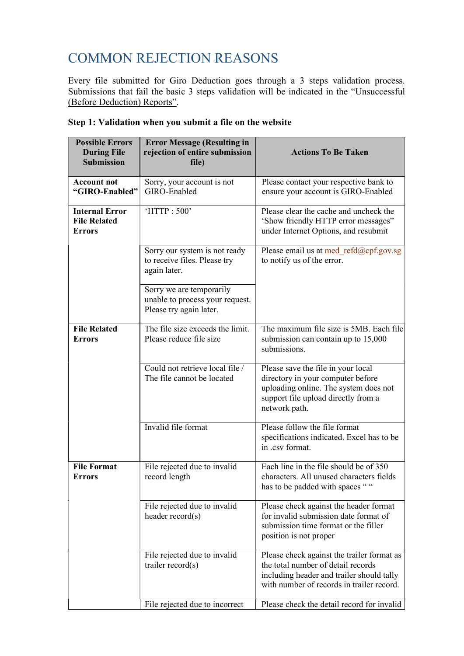# COMMON REJECTION REASONS

Every file submitted for Giro Deduction goes through a 3 steps validation process. Submissions that fail the basic 3 steps validation will be indicated in the "Unsuccessful (Before Deduction) Reports".

| <b>Possible Errors</b><br><b>During File</b><br><b>Submission</b> | <b>Error Message (Resulting in</b><br>rejection of entire submission<br>file)          | <b>Actions To Be Taken</b>                                                                                                                                                 |  |
|-------------------------------------------------------------------|----------------------------------------------------------------------------------------|----------------------------------------------------------------------------------------------------------------------------------------------------------------------------|--|
| <b>Account not</b><br>"GIRO-Enabled"                              | Sorry, your account is not<br>GIRO-Enabled                                             | Please contact your respective bank to<br>ensure your account is GIRO-Enabled                                                                                              |  |
| <b>Internal Error</b><br><b>File Related</b><br><b>Errors</b>     | 'HTTP: 500'                                                                            | Please clear the cache and uncheck the<br>'Show friendly HTTP error messages"<br>under Internet Options, and resubmit                                                      |  |
|                                                                   | Sorry our system is not ready<br>to receive files. Please try<br>again later.          | Please email us at med refd@cpf.gov.sg<br>to notify us of the error.                                                                                                       |  |
|                                                                   | Sorry we are temporarily<br>unable to process your request.<br>Please try again later. |                                                                                                                                                                            |  |
| <b>File Related</b><br><b>Errors</b>                              | The file size exceeds the limit.<br>Please reduce file size                            | The maximum file size is 5MB. Each file<br>submission can contain up to 15,000<br>submissions.                                                                             |  |
|                                                                   | Could not retrieve local file /<br>The file cannot be located                          | Please save the file in your local<br>directory in your computer before<br>uploading online. The system does not<br>support file upload directly from a<br>network path.   |  |
|                                                                   | Invalid file format                                                                    | Please follow the file format<br>specifications indicated. Excel has to be<br>in .csv format.                                                                              |  |
| <b>File Format</b><br><b>Errors</b>                               | File rejected due to invalid<br>record length                                          | Each line in the file should be of 350<br>characters. All unused characters fields<br>has to be padded with spaces ""                                                      |  |
|                                                                   | File rejected due to invalid<br>header $record(s)$                                     | Please check against the header format<br>for invalid submission date format of<br>submission time format or the filler<br>position is not proper                          |  |
|                                                                   | File rejected due to invalid<br>trailer $record(s)$                                    | Please check against the trailer format as<br>the total number of detail records<br>including header and trailer should tally<br>with number of records in trailer record. |  |
|                                                                   | File rejected due to incorrect                                                         | Please check the detail record for invalid                                                                                                                                 |  |

### Step 1: Validation when you submit a file on the website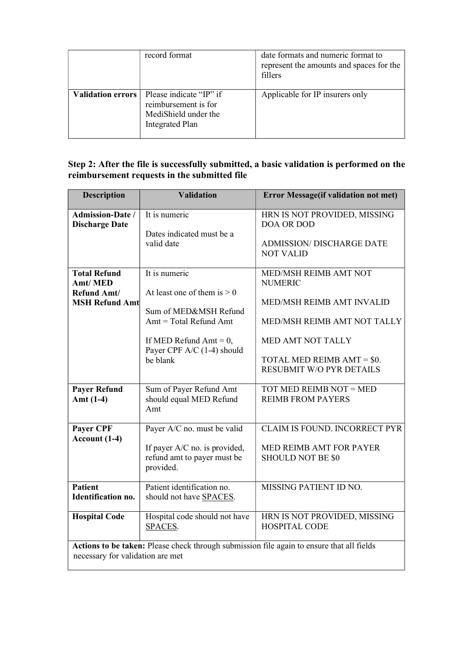|                          | record format                                                                                     | date formats and numeric format to<br>represent the amounts and spaces for the<br>fillers |
|--------------------------|---------------------------------------------------------------------------------------------------|-------------------------------------------------------------------------------------------|
| <b>Validation errors</b> | Please indicate "IP" if<br>reimbursement is for<br>MediShield under the<br><b>Integrated Plan</b> | Applicable for IP insurers only                                                           |

 $\bar{z}$ 

#### Step 2: After the file is successfully submitted, a basic validation is performed on the reimbursement requests in the submitted file

| <b>Description</b>                                                                                                            | <b>Validation</b>                                                                                                                                                          | <b>Error Message(if validation not met)</b>                                                                                                                                               |  |
|-------------------------------------------------------------------------------------------------------------------------------|----------------------------------------------------------------------------------------------------------------------------------------------------------------------------|-------------------------------------------------------------------------------------------------------------------------------------------------------------------------------------------|--|
| <b>Admission-Date /</b><br><b>Discharge Date</b>                                                                              | It is numeric<br>Dates indicated must be a<br>valid date                                                                                                                   | HRN IS NOT PROVIDED, MISSING<br>DOA OR DOD<br><b>ADMISSION/ DISCHARGE DATE</b><br><b>NOT VALID</b>                                                                                        |  |
| <b>Total Refund</b><br>Amt/MED<br>Refund Amt/<br><b>MSH Refund Amt</b>                                                        | It is numeric<br>At least one of them is $> 0$<br>Sum of MED&MSH Refund<br>$Amt = Total Refund Amt$<br>If MED Refund Amt $= 0$ ,<br>Payer CPF A/C (1-4) should<br>be blank | MED/MSH REIMB AMT NOT<br><b>NUMERIC</b><br>MED/MSH REIMB AMT INVALID<br>MED/MSH REIMB AMT NOT TALLY<br>MED AMT NOT TALLY<br>TOTAL MED REIMB AMT = \$0.<br><b>RESUBMIT W/O PYR DETAILS</b> |  |
| <b>Payer Refund</b><br>Amt $(1-4)$                                                                                            | Sum of Payer Refund Amt<br>should equal MED Refund<br>Amt                                                                                                                  | TOT MED REIMB NOT = MED<br><b>REIMB FROM PAYERS</b>                                                                                                                                       |  |
| Payer CPF<br>Account (1-4)                                                                                                    | Payer A/C no. must be valid<br>If payer A/C no. is provided,<br>refund amt to payer must be<br>provided.                                                                   | CLAIM IS FOUND. INCORRECT PYR<br>MED REIMB AMT FOR PAYER<br><b>SHOULD NOT BE \$0</b>                                                                                                      |  |
| <b>Patient</b><br><b>Identification no.</b>                                                                                   | Patient identification no.<br>should not have SPACES.                                                                                                                      | MISSING PATIENT ID NO.                                                                                                                                                                    |  |
| <b>Hospital Code</b>                                                                                                          | Hospital code should not have<br>SPACES.                                                                                                                                   | HRN IS NOT PROVIDED, MISSING<br><b>HOSPITAL CODE</b>                                                                                                                                      |  |
| Actions to be taken: Please check through submission file again to ensure that all fields<br>necessary for validation are met |                                                                                                                                                                            |                                                                                                                                                                                           |  |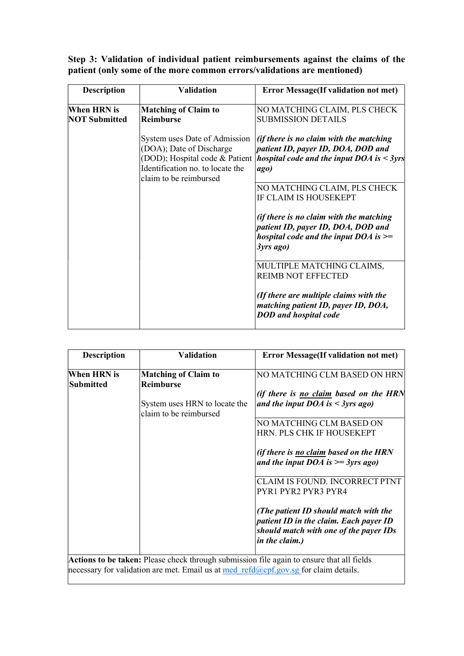|  |  | Step 3: Validation of individual patient reimbursements against the claims of the |  |  |
|--|--|-----------------------------------------------------------------------------------|--|--|
|  |  | patient (only some of the more common errors/validations are mentioned)           |  |  |

| <b>Description</b>   | <b>Validation</b>                                                                                                                                         | <b>Error Message</b> (If validation not met)                                                                                              |
|----------------------|-----------------------------------------------------------------------------------------------------------------------------------------------------------|-------------------------------------------------------------------------------------------------------------------------------------------|
| When HRN is          | <b>Matching of Claim to</b>                                                                                                                               | NO MATCHING CLAIM, PLS CHECK                                                                                                              |
| <b>NOT Submitted</b> | <b>Reimburse</b>                                                                                                                                          | <b>SUBMISSION DETAILS</b>                                                                                                                 |
|                      | System uses Date of Admission<br>(DOA); Date of Discharge<br>(DOD); Hospital code & Patient<br>Identification no. to locate the<br>claim to be reimbursed | (if there is no claim with the matching<br>patient ID, payer ID, DOA, DOD and<br>hospital code and the input $DOA$ is $\leq$ 3yrs<br>ago) |
|                      |                                                                                                                                                           | NO MATCHING CLAIM, PLS CHECK<br>IF CLAIM IS HOUSEKEPT                                                                                     |
|                      |                                                                                                                                                           | (if there is no claim with the matching<br>patient ID, payer ID, DOA, DOD and<br>hospital code and the input $DOA$ is $>=$<br>3yrs ago)   |
|                      |                                                                                                                                                           | MULTIPLE MATCHING CLAIMS,<br><b>REIMB NOT EFFECTED</b>                                                                                    |
|                      |                                                                                                                                                           | (If there are multiple claims with the<br>matching patient ID, payer ID, DOA,<br><b>DOD</b> and hospital code                             |

| <b>Description</b>              | Validation                                              | <b>Error Message</b> (If validation not met)                                                                                                       |
|---------------------------------|---------------------------------------------------------|----------------------------------------------------------------------------------------------------------------------------------------------------|
| When HRN is<br><b>Submitted</b> | <b>Matching of Claim to</b><br><b>Reimburse</b>         | NO MATCHING CLM BASED ON HRN                                                                                                                       |
|                                 |                                                         | (if there is no claim based on the HRN                                                                                                             |
|                                 | System uses HRN to locate the<br>claim to be reimbursed | and the input DOA is $\leq$ 3yrs ago)                                                                                                              |
|                                 |                                                         | NO MATCHING CLM BASED ON<br>HRN. PLS CHK IF HOUSEKEPT                                                                                              |
|                                 |                                                         | <i>(if there is no claim based on the HRN)</i><br>and the input DOA is $\geq$ = 3yrs ago)                                                          |
|                                 |                                                         | CLAIM IS FOUND. INCORRECT PTNT<br><b>PYR1 PYR2 PYR3 PYR4</b>                                                                                       |
|                                 |                                                         | (The patient ID should match with the<br>patient ID in the claim. Each payer ID<br>should match with one of the payer IDs<br><i>in the claim.)</i> |

Actions to be taken: Please check through submission file again to ensure that all fields necessary for validation are met. Email us at med refd@cpf.gov.sg for claim details.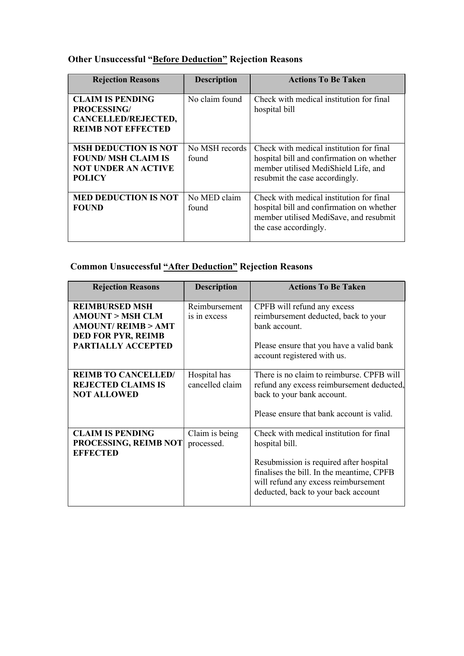## Other Unsuccessful "Before Deduction" Rejection Reasons

| <b>Rejection Reasons</b>                                                                                | <b>Description</b>      | <b>Actions To Be Taken</b>                                                                                                                                      |
|---------------------------------------------------------------------------------------------------------|-------------------------|-----------------------------------------------------------------------------------------------------------------------------------------------------------------|
| <b>CLAIM IS PENDING</b><br><b>PROCESSING/</b><br>CANCELLED/REJECTED,<br><b>REIMB NOT EFFECTED</b>       | No claim found          | Check with medical institution for final<br>hospital bill                                                                                                       |
| <b>MSH DEDUCTION IS NOT</b><br><b>FOUND/MSH CLAIM IS</b><br><b>NOT UNDER AN ACTIVE</b><br><b>POLICY</b> | No MSH records<br>found | Check with medical institution for final<br>hospital bill and confirmation on whether<br>member utilised MediShield Life, and<br>resubmit the case accordingly. |
| <b>MED DEDUCTION IS NOT</b><br><b>FOUND</b>                                                             | No MED claim<br>found   | Check with medical institution for final<br>hospital bill and confirmation on whether<br>member utilised MediSave, and resubmit<br>the case accordingly.        |

## Common Unsuccessful "After Deduction" Rejection Reasons

| <b>Rejection Reasons</b>                                                                                                     | <b>Description</b>              | <b>Actions To Be Taken</b>                                                                                                                                                                                                        |
|------------------------------------------------------------------------------------------------------------------------------|---------------------------------|-----------------------------------------------------------------------------------------------------------------------------------------------------------------------------------------------------------------------------------|
| <b>REIMBURSED MSH</b><br><b>AMOUNT &gt; MSH CLM</b><br>AMOUNT/REIMB > AMT<br><b>DED FOR PYR, REIMB</b><br>PARTIALLY ACCEPTED | Reimbursement<br>is in excess   | CPFB will refund any excess<br>reimbursement deducted, back to your<br>bank account.<br>Please ensure that you have a valid bank<br>account registered with us.                                                                   |
| <b>REIMB TO CANCELLED/</b><br><b>REJECTED CLAIMS IS</b><br><b>NOT ALLOWED</b>                                                | Hospital has<br>cancelled claim | There is no claim to reimburse. CPFB will<br>refund any excess reimbursement deducted,<br>back to your bank account.<br>Please ensure that bank account is valid.                                                                 |
| <b>CLAIM IS PENDING</b><br>PROCESSING, REIMB NOT<br><b>EFFECTED</b>                                                          | Claim is being<br>processed.    | Check with medical institution for final<br>hospital bill.<br>Resubmission is required after hospital<br>finalises the bill. In the meantime, CPFB<br>will refund any excess reimbursement<br>deducted, back to your back account |